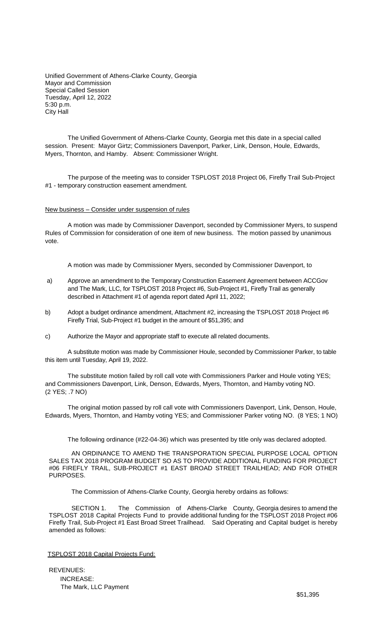Unified Government of Athens-Clarke County, Georgia Mayor and Commission Special Called Session Tuesday, April 12, 2022 5:30 p.m. City Hall

The Unified Government of Athens-Clarke County, Georgia met this date in a special called session. Present: Mayor Girtz; Commissioners Davenport, Parker, Link, Denson, Houle, Edwards, Myers, Thornton, and Hamby. Absent: Commissioner Wright.

The purpose of the meeting was to consider TSPLOST 2018 Project 06, Firefly Trail Sub-Project #1 - temporary construction easement amendment.

New business – Consider under suspension of rules

A motion was made by Commissioner Davenport, seconded by Commissioner Myers, to suspend Rules of Commission for consideration of one item of new business. The motion passed by unanimous vote.

A motion was made by Commissioner Myers, seconded by Commissioner Davenport, to

- a) Approve an amendment to the Temporary Construction Easement Agreement between ACCGov and The Mark, LLC, for TSPLOST 2018 Project #6, Sub-Project #1, Firefly Trail as generally described in Attachment #1 of agenda report dated April 11, 2022;
- b) Adopt a budget ordinance amendment, Attachment #2, increasing the TSPLOST 2018 Project #6 Firefly Trial, Sub-Project #1 budget in the amount of \$51,395; and
- c) Authorize the Mayor and appropriate staff to execute all related documents.

A substitute motion was made by Commissioner Houle, seconded by Commissioner Parker, to table this item until Tuesday, April 19, 2022.

The substitute motion failed by roll call vote with Commissioners Parker and Houle voting YES; and Commissioners Davenport, Link, Denson, Edwards, Myers, Thornton, and Hamby voting NO. (2 YES; .7 NO)

The original motion passed by roll call vote with Commissioners Davenport, Link, Denson, Houle, Edwards, Myers, Thornton, and Hamby voting YES; and Commissioner Parker voting NO. (8 YES; 1 NO)

The following ordinance (#22-04-36) which was presented by title only was declared adopted.

AN ORDINANCE TO AMEND THE TRANSPORATION SPECIAL PURPOSE LOCAL OPTION SALES TAX 2018 PROGRAM BUDGET SO AS TO PROVIDE ADDITIONAL FUNDING FOR PROJECT #06 FIREFLY TRAIL, SUB-PROJECT #1 EAST BROAD STREET TRAILHEAD; AND FOR OTHER PURPOSES.

The Commission of Athens-Clarke County, Georgia hereby ordains as follows:

SECTION 1. The Commission of Athens-Clarke County, Georgia desires to amend the TSPLOST 2018 Capital Projects Fund to provide additional funding for the TSPLOST 2018 Project #06 Firefly Trail, Sub-Project #1 East Broad Street Trailhead. Said Operating and Capital budget is hereby amended as follows:

## TSPLOST 2018 Capital Projects Fund:

REVENUES: INCREASE: The Mark, LLC Payment